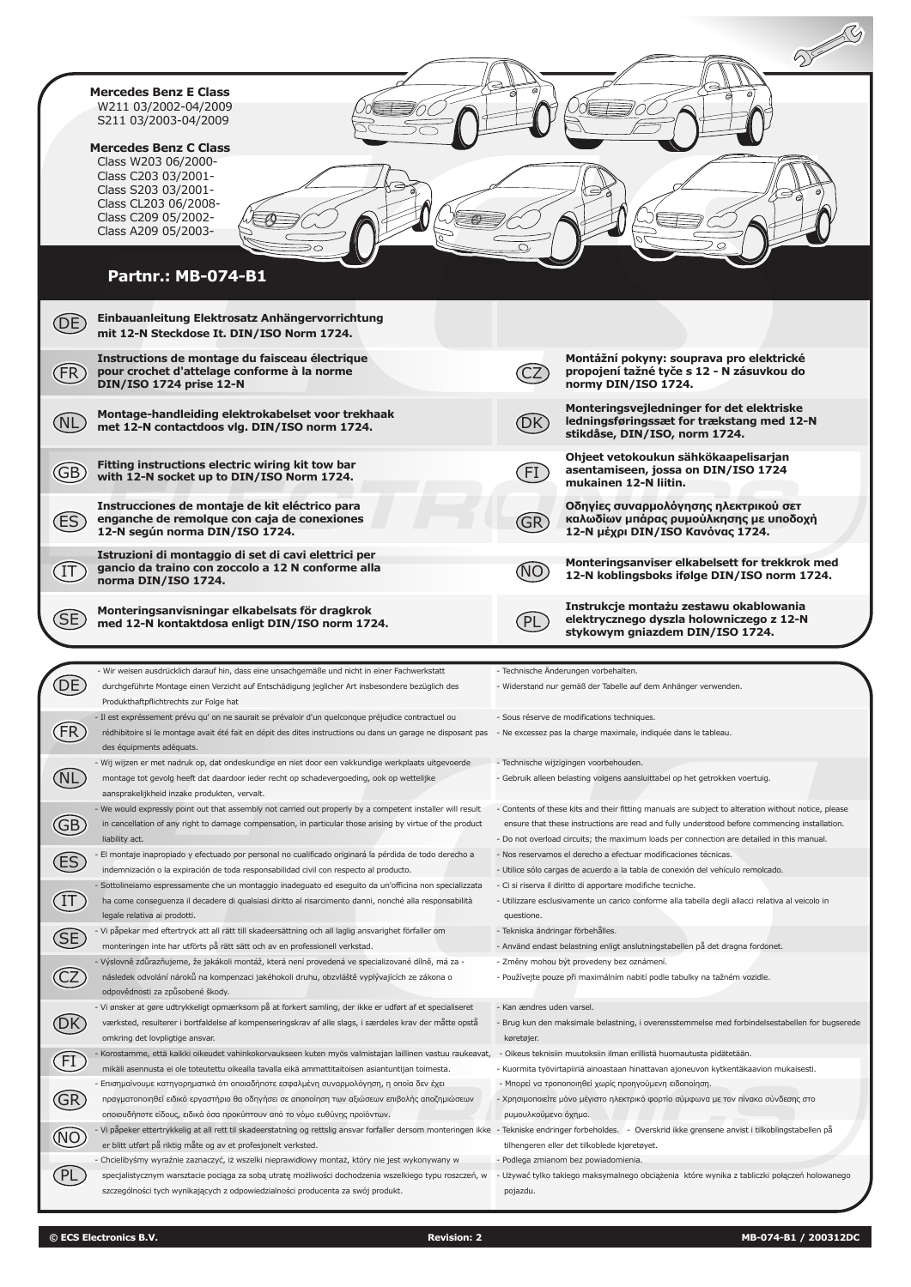|                                   | <b>Mercedes Benz E Class</b><br>W211 03/2002-04/2009<br>S211 03/2003-04/2009                                                                                                                                                                                                                                          |                                         |                                                                                                                                                                                                                                      |
|-----------------------------------|-----------------------------------------------------------------------------------------------------------------------------------------------------------------------------------------------------------------------------------------------------------------------------------------------------------------------|-----------------------------------------|--------------------------------------------------------------------------------------------------------------------------------------------------------------------------------------------------------------------------------------|
|                                   | <b>Mercedes Benz C Class</b><br>Class W203 06/2000-<br>Class C203 03/2001-<br>Class S203 03/2001-<br>Class CL203 06/2008-<br>Class C209 05/2002-<br>Class A209 05/2003-                                                                                                                                               |                                         |                                                                                                                                                                                                                                      |
|                                   | <b>Partnr.: MB-074-B1</b>                                                                                                                                                                                                                                                                                             |                                         |                                                                                                                                                                                                                                      |
| DE)                               | Einbauanleitung Elektrosatz Anhängervorrichtung<br>mit 12-N Steckdose It. DIN/ISO Norm 1724.                                                                                                                                                                                                                          |                                         |                                                                                                                                                                                                                                      |
| (FR)                              | Instructions de montage du faisceau électrique<br>pour crochet d'attelage conforme à la norme<br><b>DIN/ISO 1724 prise 12-N</b>                                                                                                                                                                                       |                                         | Montážní pokyny: souprava pro elektrické<br>propojení tažné tyče s 12 - N zásuvkou do<br>normy DIN/ISO 1724.                                                                                                                         |
|                                   | Montage-handleiding elektrokabelset voor trekhaak<br>met 12-N contactdoos vlg. DIN/ISO norm 1724.                                                                                                                                                                                                                     | (DK)                                    | Monteringsveiledninger for det elektriske<br>ledningsføringssæt for trækstang med 12-N<br>stikdåse, DIN/ISO, norm 1724.                                                                                                              |
| GB)                               | Fitting instructions electric wiring kit tow bar<br>with 12-N socket up to DIN/ISO Norm 1724.                                                                                                                                                                                                                         | FI                                      | Ohjeet vetokoukun sähkökaapelisarjan<br>asentamiseen, jossa on DIN/ISO 1724<br>mukainen 12-N liitin.                                                                                                                                 |
| <b>ES</b>                         | Instrucciones de montaje de kit eléctrico para<br>enganche de remolque con caja de conexiones<br>12-N según norma DIN/ISO 1724.                                                                                                                                                                                       | GR)                                     | Οδηγίες συναρμολόγησης ηλεκτρικού σετ<br>καλωδίων μπάρας ρυμούλκησης με υποδοχή<br>12-Ν μέχρι DIN/ISO Κανόνας 1724.                                                                                                                  |
|                                   | Istruzioni di montaggio di set di cavi elettrici per<br>gancio da traino con zoccolo a 12 N conforme alla<br>norma DIN/ISO 1724.                                                                                                                                                                                      |                                         | Monteringsanviser elkabelsett for trekkrok med<br>12-N koblingsboks ifølge DIN/ISO norm 1724.                                                                                                                                        |
| SE                                | Monteringsanvisningar elkabelsats för dragkrok                                                                                                                                                                                                                                                                        |                                         | Instrukcje montażu zestawu okablowania                                                                                                                                                                                               |
|                                   | med 12-N kontaktdosa enligt DIN/ISO norm 1724.                                                                                                                                                                                                                                                                        | PL                                      | elektrycznego dyszla holowniczego z 12-N<br>stykowym gniazdem DIN/ISO 1724.                                                                                                                                                          |
|                                   | - Wir weisen ausdrücklich darauf hin, dass eine unsachgemäße und nicht in einer Fachwerkstatt                                                                                                                                                                                                                         |                                         | - Technische Änderungen vorbehalten.                                                                                                                                                                                                 |
|                                   | durchgeführte Montage einen Verzicht auf Entschädigung jeglicher Art insbesondere bezüglich des<br>Produkthaftpflichtrechts zur Folge hat                                                                                                                                                                             |                                         | - Widerstand nur gemäß der Tabelle auf dem Anhänger verwenden.                                                                                                                                                                       |
|                                   | - Il est expréssement prévu qu' on ne saurait se prévaloir d'un quelconque préjudice contractuel ou<br>rédhibitoire si le montage avait été fait en dépit des dites instructions ou dans un garage ne disposant pas - Ne excessez pas la charge maximale, indiquée dans le tableau.<br>des équipments adéquats.       |                                         | - Sous réserve de modifications techniques.                                                                                                                                                                                          |
| (NL                               | - Wij wijzen er met nadruk op, dat ondeskundige en niet door een vakkundige werkplaats uitgevoerde<br>montage tot gevolg heeft dat daardoor ieder recht op schadevergoeding, ook op wettelijke<br>aansprakelijkheid inzake produkten, vervalt.                                                                        |                                         | - Technische wijzigingen voorbehouden.<br>- Gebruik alleen belasting volgens aansluittabel op het getrokken voertuig.                                                                                                                |
| $\bigoplus$                       | - We would expressly point out that assembly not carried out properly by a competent installer will result<br>in cancellation of any right to damage compensation, in particular those arising by virtue of the product                                                                                               |                                         | - Contents of these kits and their fitting manuals are subject to alteration without notice, please<br>ensure that these instructions are read and fully understood before commencing installation.                                  |
|                                   | liability act.<br>El montaje inapropiado y efectuado por personal no cualificado originará la pérdida de todo derecho a                                                                                                                                                                                               |                                         | - Do not overload circuits; the maximum loads per connection are detailed in this manual.<br>- Nos reservamos el derecho a efectuar modificaciones técnicas.                                                                         |
| ES                                | indemnización o la expiración de toda responsabilidad civil con respecto al producto.<br>Sottolineiamo espressamente che un montaggio inadeguato ed eseguito da un'officina non specializzata                                                                                                                         |                                         | - Utilice sólo cargas de acuerdo a la tabla de conexión del vehículo remolcado.<br>- Ci si riserva il diritto di apportare modifiche tecniche.                                                                                       |
| $\textcircled{\tiny{\textsf{T}}}$ | ha come conseguenza il decadere di qualsiasi diritto al risarcimento danni, nonché alla responsabilità<br>legale relativa ai prodotti.                                                                                                                                                                                | questione.                              | - Utilizzare esclusivamente un carico conforme alla tabella degli allacci relativa al veicolo in                                                                                                                                     |
|                                   | - Vi påpekar med eftertryck att all rätt till skadeersättning och all laglig ansvarighet förfaller om                                                                                                                                                                                                                 | - Tekniska ändringar förbehålles.       |                                                                                                                                                                                                                                      |
| Œ<br>$\widehat{\text{CZ}}$        | monteringen inte har utförts på rätt sätt och av en professionell verkstad.<br>- Výslovně zdůrazňujeme, že jakákoli montáž, která není provedená ve specializované dílně, má za -<br>následek odvolání nároků na kompenzaci jakéhokoli druhu, obzvláště vyplývajících ze zákona o<br>odpovědnosti za způsobené škody. |                                         | - Använd endast belastning enligt anslutningstabellen på det dragna fordonet.<br>- Změny mohou být provedeny bez oznámení.<br>- Používejte pouze při maximálním nabití podle tabulky na tažném vozidle.                              |
| ́́DК                              | - Vi ønsker at gøre udtrykkeligt opmærksom på at forkert samling, der ikke er udført af et specialiseret<br>værksted, resulterer i bortfaldelse af kompenseringskrav af alle slags, i særdeles krav der måtte opstå<br>omkring det lovpligtige ansvar.                                                                | - Kan ændres uden varsel.<br>køretøjer. | - Brug kun den maksimale belastning, i overensstemmelse med forbindelsestabellen for bugserede                                                                                                                                       |
|                                   | Korostamme, että kaikki oikeudet vahinkokorvaukseen kuten myös valmistajan laillinen vastuu raukeavat,                                                                                                                                                                                                                |                                         | - Oikeus teknisiin muutoksiin ilman erillistä huomautusta pidätetään.                                                                                                                                                                |
| $\bigoplus$                       | mikäli asennusta ei ole toteutettu oikealla tavalla eikä ammattitaitoisen asiantuntijan toimesta.<br>- Επισημαίνουμε κατηγορηματικά ότι οποιαδήποτε εσφαλμένη συναρμολόγηση, η οποία δεν έχει<br>πραγματοποιηθεί ειδικό εργαστήριο θα οδηγήσει σε αποποίηση των αξιώσεων επιβολής αποζημιώσεων                        |                                         | - Kuormita työvirtapiiriä ainoastaan hinattavan ajoneuvon kytkentäkaavion mukaisesti.<br>- Μπορεί να τροποποιηθεί χωρίς προηγούμενη ειδοποίηση.<br>- Χρησιμοποιείτε μόνο μέγιστο ηλεκτρικό φορτίο σύμφωνα με τον πίνακα σύνδεσης στο |
| GR                                | οποιουδήποτε είδους, ειδικά όσα προκύπτουν από το νόμο ευθύνης προϊόντων.                                                                                                                                                                                                                                             | ρυμουλκούμενο όχημα.                    |                                                                                                                                                                                                                                      |
| $\circledR$                       | Vi påpeker ettertrykkelig at all rett til skadeerstatning og rettslig ansvar forfaller dersom monteringen ikke - Tekniske endringer forbeholdes. - Overskrid ikke grensene anvist i tilkoblingstabellen på<br>er blitt utført på riktig måte og av et profesjonelt verksted.                                          |                                         | tilhengeren eller det tilkoblede kjøretøyet.                                                                                                                                                                                         |
| (PL)                              | Chcielibyśmy wyraźnie zaznaczyć, iż wszelki nieprawidłowy montaż, który nie jest wykonywany w<br>specjalistycznym warsztacie pociąga za sobą utratę możliwości dochodzenia wszelkiego typu roszczeń, w                                                                                                                |                                         | - Podlega zmianom bez powiadomienia.<br>- Używać tylko takiego maksymalnego obciążenia które wynika z tabliczki połączeń holowanego                                                                                                  |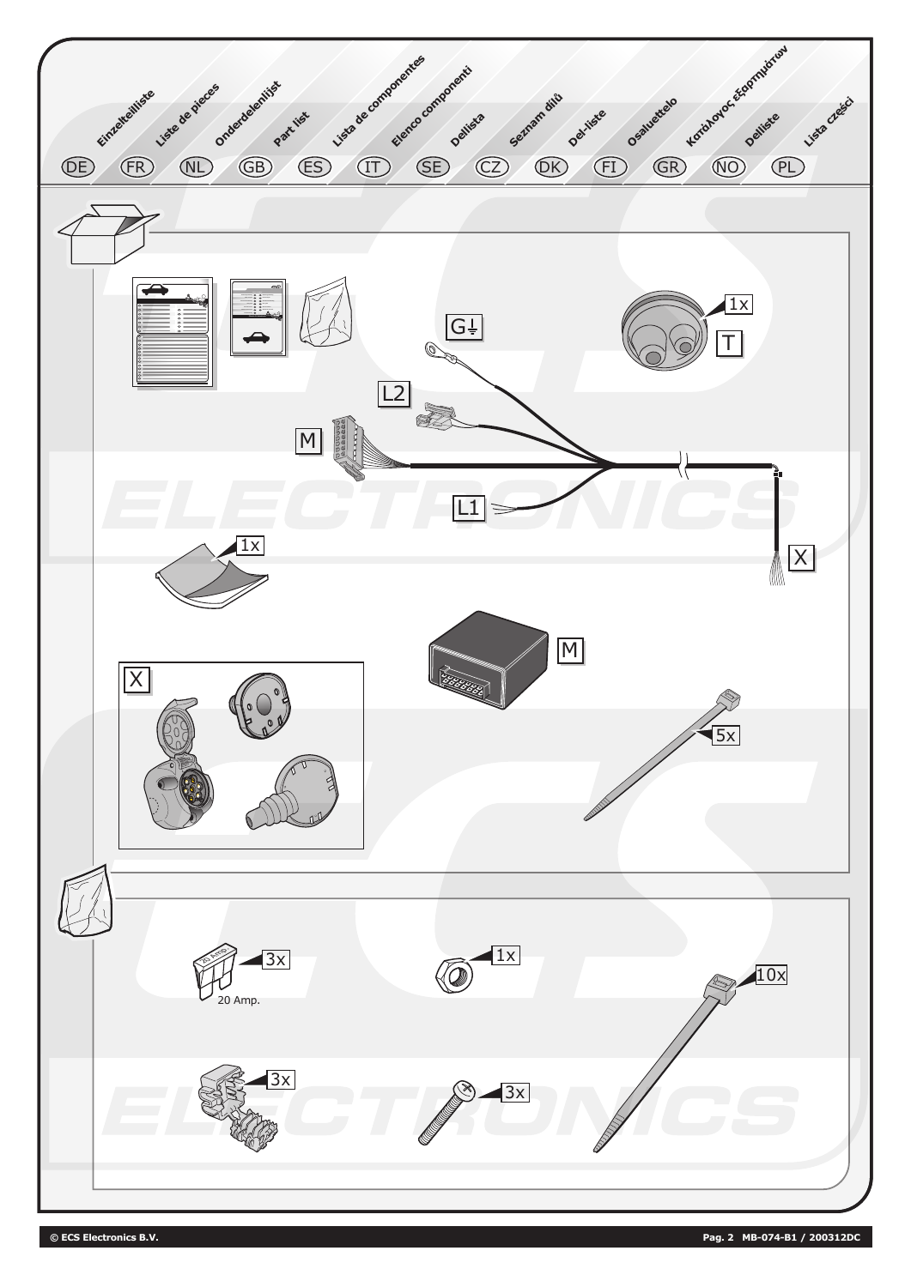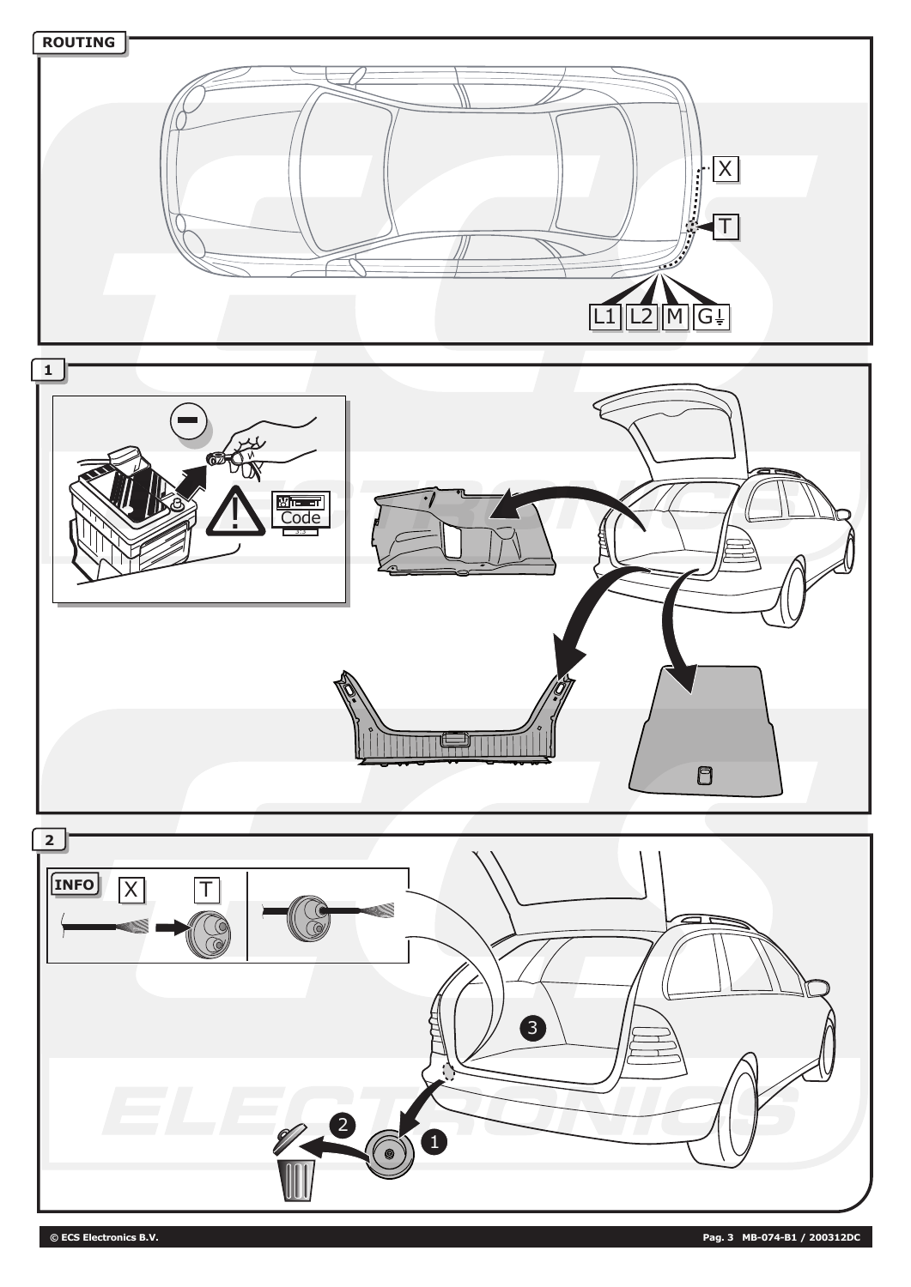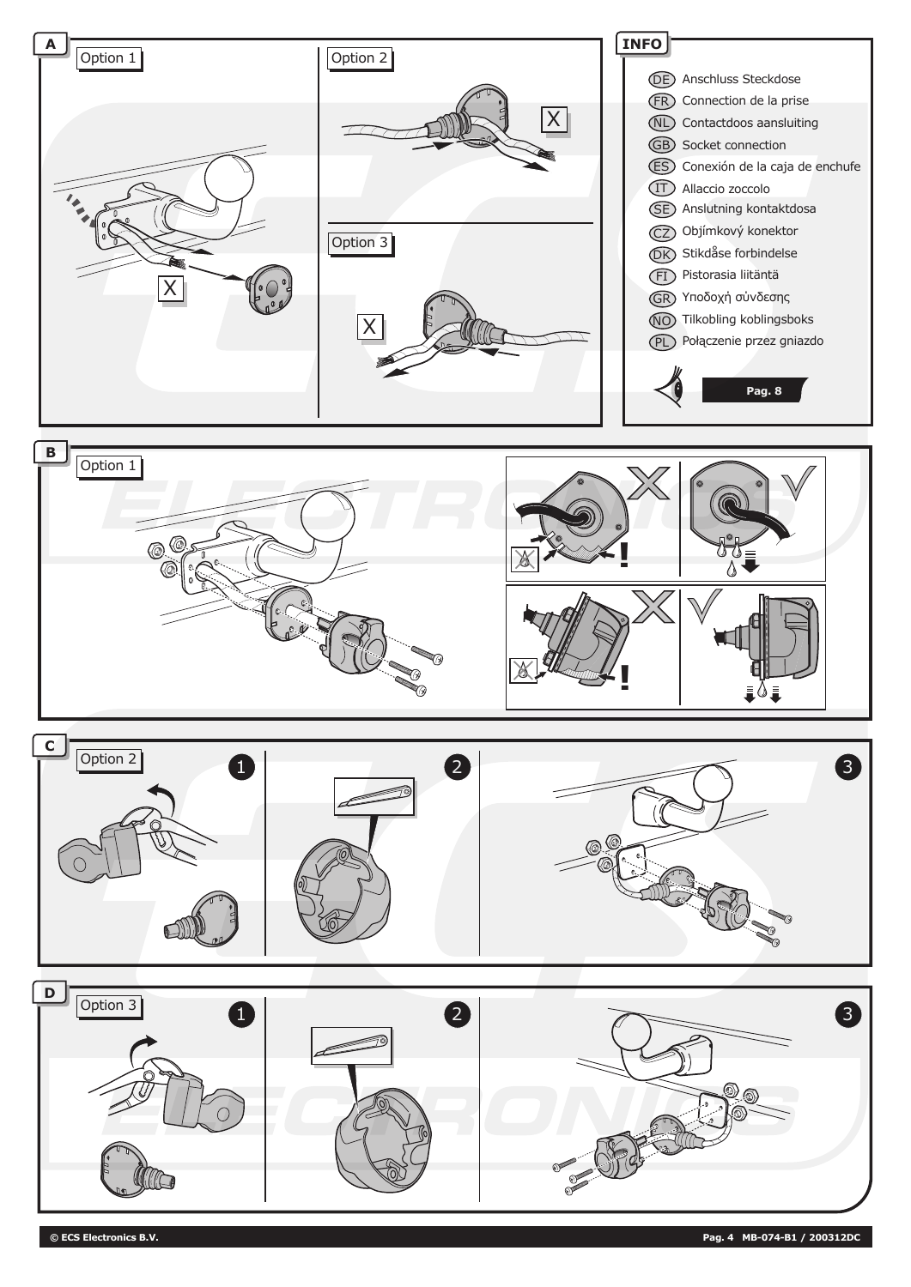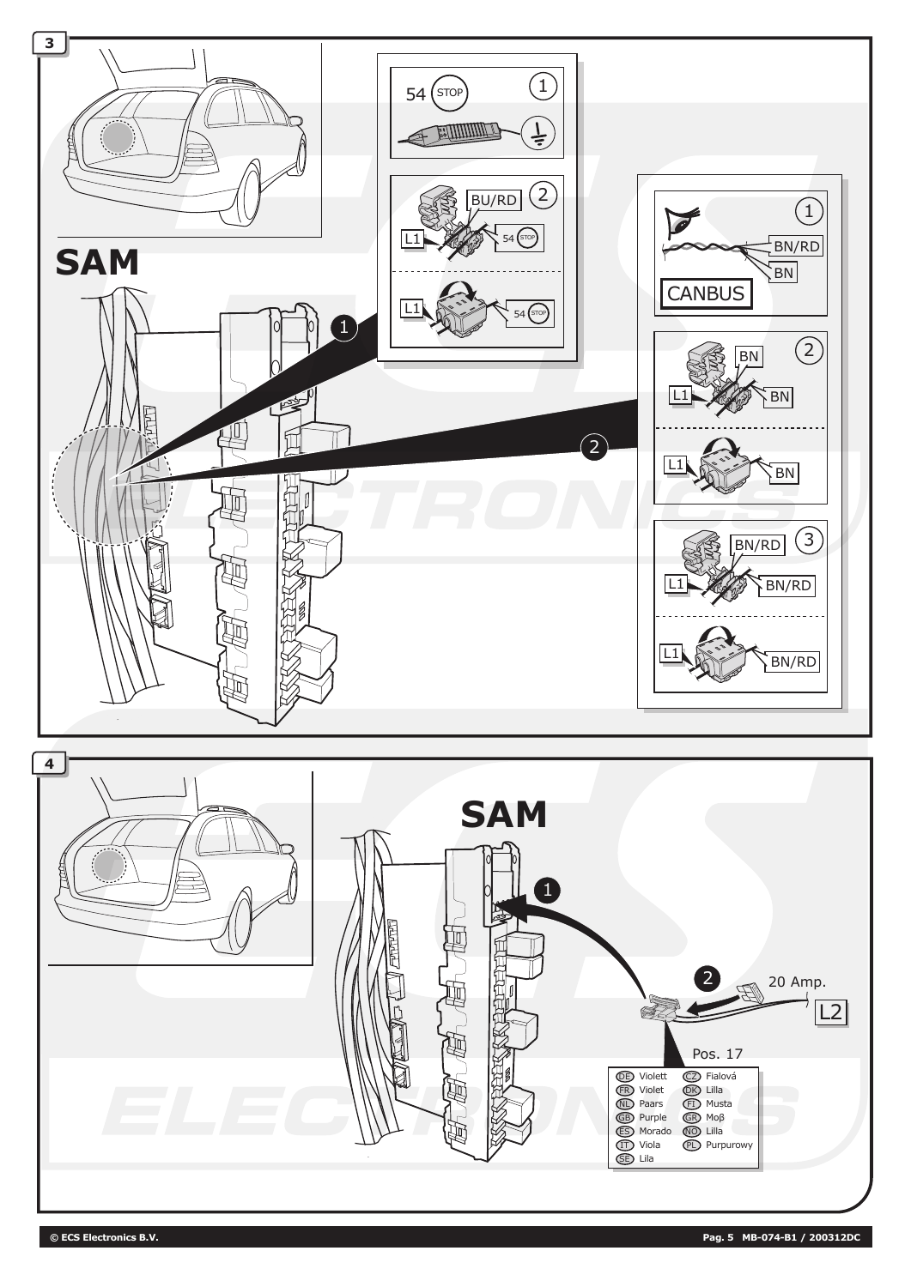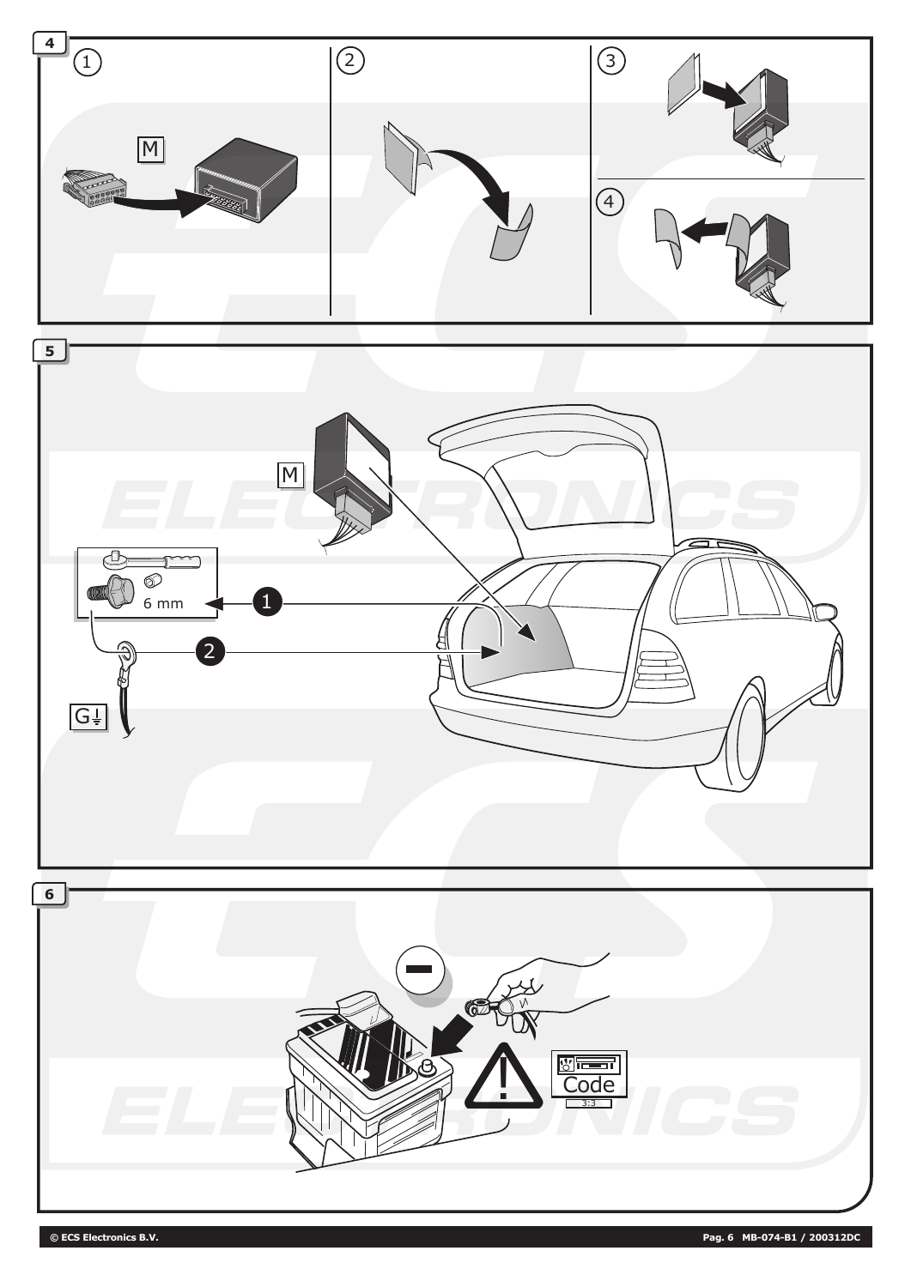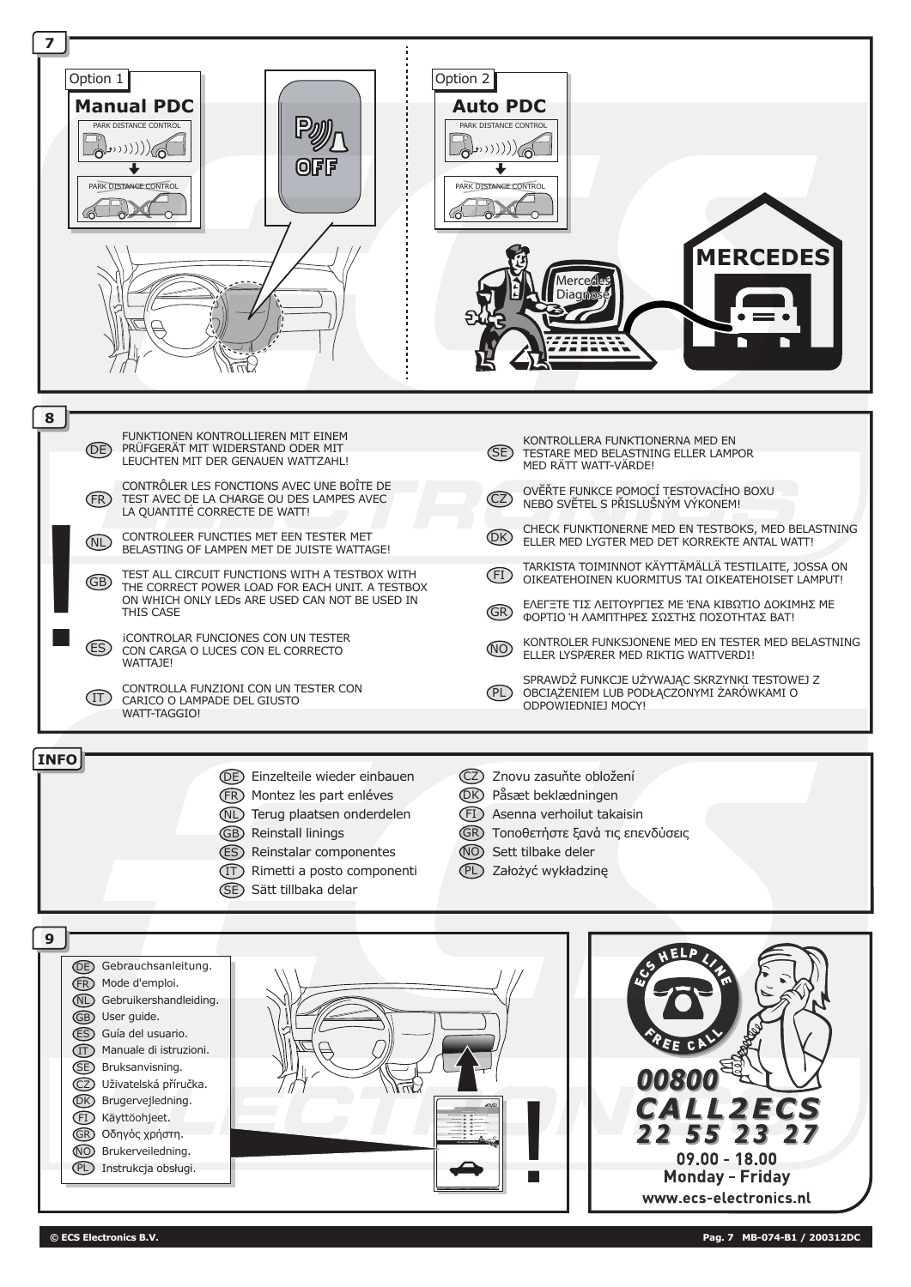